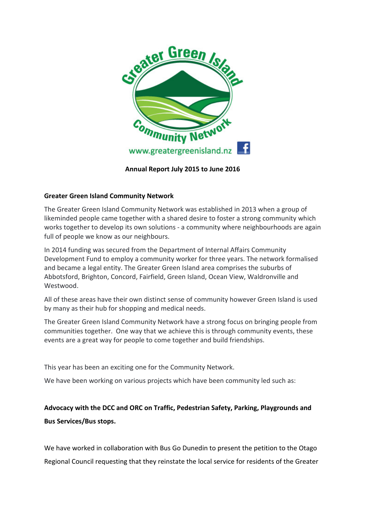

Annual Report July 2015 to June 2016

# Greater Green Island Community Network

The Greater Green Island Community Network was established in 2013 when a group of likeminded people came together with a shared desire to foster a strong community which works together to develop its own solutions - a community where neighbourhoods are again full of people we know as our neighbours.

In 2014 funding was secured from the Department of Internal Affairs Community Development Fund to employ a community worker for three years. The network formalised and became a legal entity. The Greater Green Island area comprises the suburbs of Abbotsford, Brighton, Concord, Fairfield, Green Island, Ocean View, Waldronville and Westwood.

All of these areas have their own distinct sense of community however Green Island is used by many as their hub for shopping and medical needs.

The Greater Green Island Community Network have a strong focus on bringing people from communities together. One way that we achieve this is through community events, these events are a great way for people to come together and build friendships.

This year has been an exciting one for the Community Network.

We have been working on various projects which have been community led such as:

# Advocacy with the DCC and ORC on Traffic, Pedestrian Safety, Parking, Playgrounds and Bus Services/Bus stops.

We have worked in collaboration with Bus Go Dunedin to present the petition to the Otago Regional Council requesting that they reinstate the local service for residents of the Greater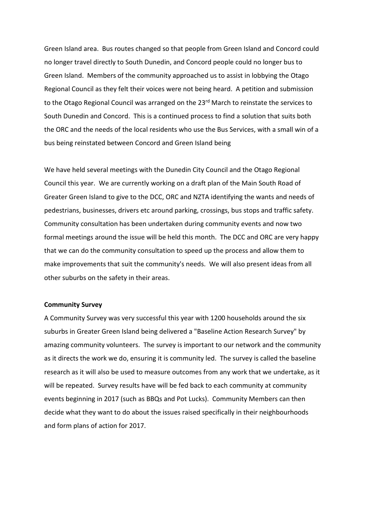Green Island area. Bus routes changed so that people from Green Island and Concord could no longer travel directly to South Dunedin, and Concord people could no longer bus to Green Island. Members of the community approached us to assist in lobbying the Otago Regional Council as they felt their voices were not being heard. A petition and submission to the Otago Regional Council was arranged on the 23<sup>rd</sup> March to reinstate the services to South Dunedin and Concord. This is a continued process to find a solution that suits both the ORC and the needs of the local residents who use the Bus Services, with a small win of a bus being reinstated between Concord and Green Island being

We have held several meetings with the Dunedin City Council and the Otago Regional Council this year. We are currently working on a draft plan of the Main South Road of Greater Green Island to give to the DCC, ORC and NZTA identifying the wants and needs of pedestrians, businesses, drivers etc around parking, crossings, bus stops and traffic safety. Community consultation has been undertaken during community events and now two formal meetings around the issue will be held this month. The DCC and ORC are very happy that we can do the community consultation to speed up the process and allow them to make improvements that suit the community's needs. We will also present ideas from all other suburbs on the safety in their areas.

#### Community Survey

A Community Survey was very successful this year with 1200 households around the six suburbs in Greater Green Island being delivered a "Baseline Action Research Survey" by amazing community volunteers. The survey is important to our network and the community as it directs the work we do, ensuring it is community led. The survey is called the baseline research as it will also be used to measure outcomes from any work that we undertake, as it will be repeated. Survey results have will be fed back to each community at community events beginning in 2017 (such as BBQs and Pot Lucks). Community Members can then decide what they want to do about the issues raised specifically in their neighbourhoods and form plans of action for 2017.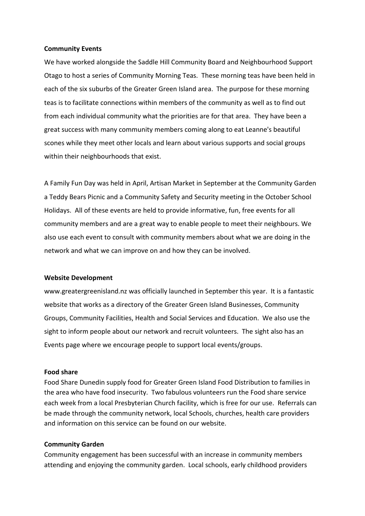#### Community Events

We have worked alongside the Saddle Hill Community Board and Neighbourhood Support Otago to host a series of Community Morning Teas. These morning teas have been held in each of the six suburbs of the Greater Green Island area. The purpose for these morning teas is to facilitate connections within members of the community as well as to find out from each individual community what the priorities are for that area. They have been a great success with many community members coming along to eat Leanne's beautiful scones while they meet other locals and learn about various supports and social groups within their neighbourhoods that exist.

A Family Fun Day was held in April, Artisan Market in September at the Community Garden a Teddy Bears Picnic and a Community Safety and Security meeting in the October School Holidays. All of these events are held to provide informative, fun, free events for all community members and are a great way to enable people to meet their neighbours. We also use each event to consult with community members about what we are doing in the network and what we can improve on and how they can be involved.

#### Website Development

www.greatergreenisland.nz was officially launched in September this year. It is a fantastic website that works as a directory of the Greater Green Island Businesses, Community Groups, Community Facilities, Health and Social Services and Education. We also use the sight to inform people about our network and recruit volunteers. The sight also has an Events page where we encourage people to support local events/groups.

#### Food share

Food Share Dunedin supply food for Greater Green Island Food Distribution to families in the area who have food insecurity. Two fabulous volunteers run the Food share service each week from a local Presbyterian Church facility, which is free for our use. Referrals can be made through the community network, local Schools, churches, health care providers and information on this service can be found on our website.

#### Community Garden

Community engagement has been successful with an increase in community members attending and enjoying the community garden. Local schools, early childhood providers